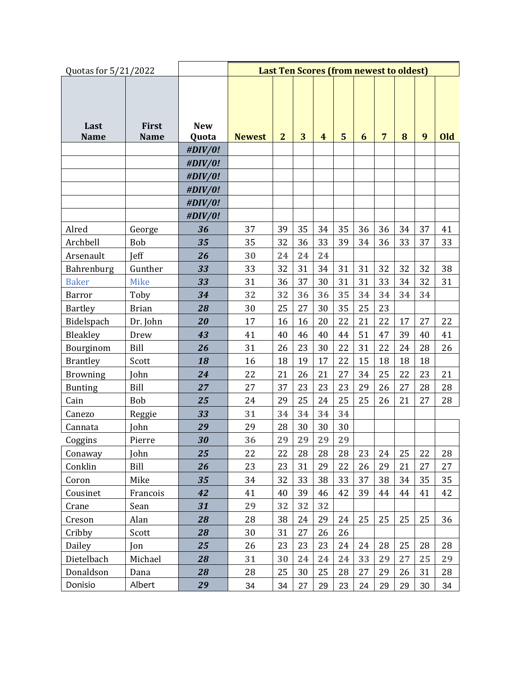| Quotas for 5/21/2022 |                      | <b>Last Ten Scores (from newest to oldest)</b> |               |                |    |                |    |    |                |    |    |     |
|----------------------|----------------------|------------------------------------------------|---------------|----------------|----|----------------|----|----|----------------|----|----|-----|
| Last<br><b>Name</b>  | First<br><b>Name</b> | <b>New</b><br>Quota                            | <b>Newest</b> | $\overline{2}$ | 3  | $\overline{4}$ | 5  | 6  | $\overline{7}$ | 8  | 9  | Old |
|                      |                      | #DIV/0!                                        |               |                |    |                |    |    |                |    |    |     |
|                      |                      |                                                |               |                |    |                |    |    |                |    |    |     |
|                      |                      | #DIV/0!<br>#DIV/0!                             |               |                |    |                |    |    |                |    |    |     |
|                      |                      | #DIV/0!                                        |               |                |    |                |    |    |                |    |    |     |
|                      |                      | #DIV/0!                                        |               |                |    |                |    |    |                |    |    |     |
|                      |                      | #DIV/0!                                        |               |                |    |                |    |    |                |    |    |     |
| Alred                | George               | 36                                             | 37            | 39             | 35 | 34             | 35 | 36 | 36             | 34 | 37 | 41  |
| Archbell             | Bob                  | 35                                             | 35            | 32             | 36 | 33             | 39 | 34 | 36             | 33 | 37 | 33  |
| Arsenault            | <b>Jeff</b>          | 26                                             | 30            | 24             | 24 | 24             |    |    |                |    |    |     |
| Bahrenburg           | Gunther              | 33                                             | 33            | 32             | 31 | 34             | 31 | 31 | 32             | 32 | 32 | 38  |
| <b>Baker</b>         | <b>Mike</b>          | 33                                             | 31            | 36             | 37 | 30             | 31 | 31 | 33             | 34 | 32 | 31  |
| <b>Barror</b>        | Toby                 | 34                                             | 32            | 32             | 36 | 36             | 35 | 34 | 34             | 34 | 34 |     |
| <b>Bartley</b>       | <b>Brian</b>         | 28                                             | 30            | 25             | 27 | 30             | 35 | 25 | 23             |    |    |     |
| Bidelspach           | Dr. John             | 20                                             | 17            | 16             | 16 | 20             | 22 | 21 | 22             | 17 | 27 | 22  |
| Bleakley             | Drew                 | 43                                             | 41            | 40             | 46 | 40             | 44 | 51 | 47             | 39 | 40 | 41  |
| Bourginom            | Bill                 | 26                                             | 31            | 26             | 23 | 30             | 22 | 31 | 22             | 24 | 28 | 26  |
| <b>Brantley</b>      | Scott                | 18                                             | 16            | 18             | 19 | 17             | 22 | 15 | 18             | 18 | 18 |     |
| <b>Browning</b>      | John                 | 24                                             | 22            | 21             | 26 | 21             | 27 | 34 | 25             | 22 | 23 | 21  |
| <b>Bunting</b>       | Bill                 | 27                                             | 27            | 37             | 23 | 23             | 23 | 29 | 26             | 27 | 28 | 28  |
| Cain                 | Bob                  | 25                                             | 24            | 29             | 25 | 24             | 25 | 25 | 26             | 21 | 27 | 28  |
| Canezo               | Reggie               | 33                                             | 31            | 34             | 34 | 34             | 34 |    |                |    |    |     |
| Cannata              | John                 | 29                                             | 29            | 28             | 30 | 30             | 30 |    |                |    |    |     |
| Coggins              | Pierre               | 30                                             | 36            | 29             | 29 | 29             | 29 |    |                |    |    |     |
| Conaway              | John                 | 25                                             | 22            | 22             | 28 | 28             | 28 | 23 | 24             | 25 | 22 | 28  |
| Conklin              | Bill                 | 26                                             | 23            | 23             | 31 | 29             | 22 | 26 | 29             | 21 | 27 | 27  |
| Coron                | Mike                 | 35                                             | 34            | 32             | 33 | 38             | 33 | 37 | 38             | 34 | 35 | 35  |
| Cousinet             | Francois             | 42                                             | 41            | 40             | 39 | 46             | 42 | 39 | 44             | 44 | 41 | 42  |
| Crane                | Sean                 | 31                                             | 29            | 32             | 32 | 32             |    |    |                |    |    |     |
| Creson               | Alan                 | 28                                             | 28            | 38             | 24 | 29             | 24 | 25 | 25             | 25 | 25 | 36  |
| Cribby               | Scott                | 28                                             | 30            | 31             | 27 | 26             | 26 |    |                |    |    |     |
| Dailey               | Jon                  | 25                                             | 26            | 23             | 23 | 23             | 24 | 24 | 28             | 25 | 28 | 28  |
| Dietelbach           | Michael              | 28                                             | 31            | 30             | 24 | 24             | 24 | 33 | 29             | 27 | 25 | 29  |
| Donaldson            | Dana                 | 28                                             | 28            | 25             | 30 | 25             | 28 | 27 | 29             | 26 | 31 | 28  |
| Donisio              | Albert               | 29                                             | 34            | 34             | 27 | 29             | 23 | 24 | 29             | 29 | 30 | 34  |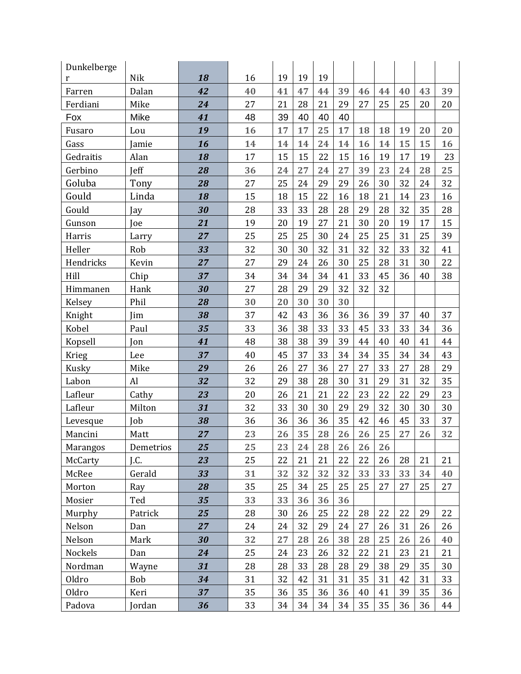| Dunkelberge     |            |    |    |    |    |    |    |    |    |    |    |    |
|-----------------|------------|----|----|----|----|----|----|----|----|----|----|----|
| r               | Nik        | 18 | 16 | 19 | 19 | 19 |    |    |    |    |    |    |
| Farren          | Dalan      | 42 | 40 | 41 | 47 | 44 | 39 | 46 | 44 | 40 | 43 | 39 |
| Ferdiani        | Mike       | 24 | 27 | 21 | 28 | 21 | 29 | 27 | 25 | 25 | 20 | 20 |
| Fox             | Mike       | 41 | 48 | 39 | 40 | 40 | 40 |    |    |    |    |    |
| Fusaro          | Lou        | 19 | 16 | 17 | 17 | 25 | 17 | 18 | 18 | 19 | 20 | 20 |
| Gass            | Jamie      | 16 | 14 | 14 | 14 | 24 | 14 | 16 | 14 | 15 | 15 | 16 |
| Gedraitis       | Alan       | 18 | 17 | 15 | 15 | 22 | 15 | 16 | 19 | 17 | 19 | 23 |
| Gerbino         | Jeff       | 28 | 36 | 24 | 27 | 24 | 27 | 39 | 23 | 24 | 28 | 25 |
| Goluba          | Tony       | 28 | 27 | 25 | 24 | 29 | 29 | 26 | 30 | 32 | 24 | 32 |
| Gould           | Linda      | 18 | 15 | 18 | 15 | 22 | 16 | 18 | 21 | 14 | 23 | 16 |
| Gould           | Jay        | 30 | 28 | 33 | 33 | 28 | 28 | 29 | 28 | 32 | 35 | 28 |
| Gunson          | Joe        | 21 | 19 | 20 | 19 | 27 | 21 | 30 | 20 | 19 | 17 | 15 |
| Harris          | Larry      | 27 | 25 | 25 | 25 | 30 | 24 | 25 | 25 | 31 | 25 | 39 |
| Heller          | Rob        | 33 | 32 | 30 | 30 | 32 | 31 | 32 | 32 | 33 | 32 | 41 |
| Hendricks       | Kevin      | 27 | 27 | 29 | 24 | 26 | 30 | 25 | 28 | 31 | 30 | 22 |
| Hill            | Chip       | 37 | 34 | 34 | 34 | 34 | 41 | 33 | 45 | 36 | 40 | 38 |
| Himmanen        | Hank       | 30 | 27 | 28 | 29 | 29 | 32 | 32 | 32 |    |    |    |
| Kelsey          | Phil       | 28 | 30 | 20 | 30 | 30 | 30 |    |    |    |    |    |
| Knight          | Jim        | 38 | 37 | 42 | 43 | 36 | 36 | 36 | 39 | 37 | 40 | 37 |
| Kobel           | Paul       | 35 | 33 | 36 | 38 | 33 | 33 | 45 | 33 | 33 | 34 | 36 |
| Kopsell         | Jon        | 41 | 48 | 38 | 38 | 39 | 39 | 44 | 40 | 40 | 41 | 44 |
| Krieg           | Lee        | 37 | 40 | 45 | 37 | 33 | 34 | 34 | 35 | 34 | 34 | 43 |
| Kusky           | Mike       | 29 | 26 | 26 | 27 | 36 | 27 | 27 | 33 | 27 | 28 | 29 |
| Labon           | Al         | 32 | 32 | 29 | 38 | 28 | 30 | 31 | 29 | 31 | 32 | 35 |
| Lafleur         | Cathy      | 23 | 20 | 26 | 21 | 21 | 22 | 23 | 22 | 22 | 29 | 23 |
| Lafleur         | Milton     | 31 | 32 | 33 | 30 | 30 | 29 | 29 | 32 | 30 | 30 | 30 |
| Levesque        | Job        | 38 | 36 | 36 | 36 | 36 | 35 | 42 | 46 | 45 | 33 | 37 |
| Mancini         | Matt       | 27 | 23 | 26 | 35 | 28 | 26 | 26 | 25 | 27 | 26 | 32 |
| <b>Marangos</b> | Demetrios  | 25 | 25 | 23 | 24 | 28 | 26 | 26 | 26 |    |    |    |
| McCarty         | J.C.       | 23 | 25 | 22 | 21 | 21 | 22 | 22 | 26 | 28 | 21 | 21 |
| McRee           | Gerald     | 33 | 31 | 32 | 32 | 32 | 32 | 33 | 33 | 33 | 34 | 40 |
| Morton          | Ray        | 28 | 35 | 25 | 34 | 25 | 25 | 25 | 27 | 27 | 25 | 27 |
| Mosier          | Ted        | 35 | 33 | 33 | 36 | 36 | 36 |    |    |    |    |    |
| Murphy          | Patrick    | 25 | 28 | 30 | 26 | 25 | 22 | 28 | 22 | 22 | 29 | 22 |
| Nelson          | Dan        | 27 | 24 | 24 | 32 | 29 | 24 | 27 | 26 | 31 | 26 | 26 |
| Nelson          | Mark       | 30 | 32 | 27 | 28 | 26 | 38 | 28 | 25 | 26 | 26 | 40 |
| Nockels         | Dan        | 24 | 25 | 24 | 23 | 26 | 32 | 22 | 21 | 23 | 21 | 21 |
| Nordman         | Wayne      | 31 | 28 | 28 | 33 | 28 | 28 | 29 | 38 | 29 | 35 | 30 |
| Oldro           | <b>Bob</b> | 34 | 31 | 32 | 42 | 31 | 31 | 35 | 31 | 42 | 31 | 33 |
| Oldro           | Keri       | 37 | 35 | 36 | 35 | 36 | 36 | 40 | 41 | 39 | 35 | 36 |
| Padova          | Jordan     | 36 | 33 | 34 | 34 | 34 | 34 | 35 | 35 | 36 | 36 | 44 |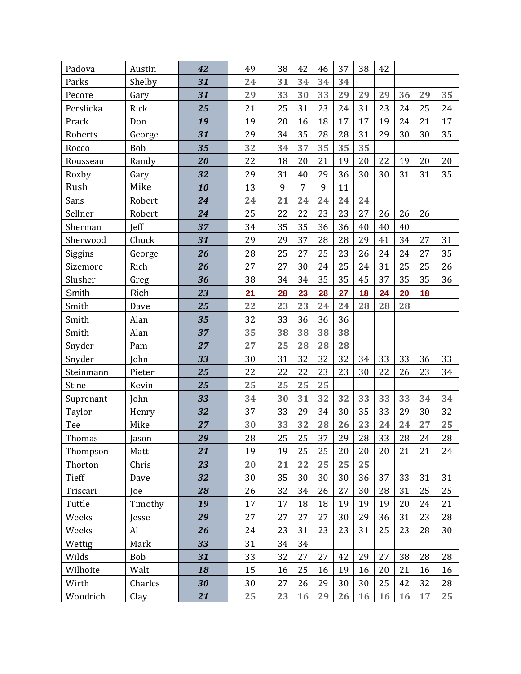| Padova    | Austin      | 42 | 49 | 38 | 42             | 46 | 37 | 38 | 42 |    |    |    |
|-----------|-------------|----|----|----|----------------|----|----|----|----|----|----|----|
| Parks     | Shelby      | 31 | 24 | 31 | 34             | 34 | 34 |    |    |    |    |    |
| Pecore    | Gary        | 31 | 29 | 33 | 30             | 33 | 29 | 29 | 29 | 36 | 29 | 35 |
| Perslicka | Rick        | 25 | 21 | 25 | 31             | 23 | 24 | 31 | 23 | 24 | 25 | 24 |
| Prack     | Don         | 19 | 19 | 20 | 16             | 18 | 17 | 17 | 19 | 24 | 21 | 17 |
| Roberts   | George      | 31 | 29 | 34 | 35             | 28 | 28 | 31 | 29 | 30 | 30 | 35 |
| Rocco     | Bob         | 35 | 32 | 34 | 37             | 35 | 35 | 35 |    |    |    |    |
| Rousseau  | Randy       | 20 | 22 | 18 | 20             | 21 | 19 | 20 | 22 | 19 | 20 | 20 |
| Roxby     | Gary        | 32 | 29 | 31 | 40             | 29 | 36 | 30 | 30 | 31 | 31 | 35 |
| Rush      | Mike        | 10 | 13 | 9  | $\overline{7}$ | 9  | 11 |    |    |    |    |    |
| Sans      | Robert      | 24 | 24 | 21 | 24             | 24 | 24 | 24 |    |    |    |    |
| Sellner   | Robert      | 24 | 25 | 22 | 22             | 23 | 23 | 27 | 26 | 26 | 26 |    |
| Sherman   | Jeff        | 37 | 34 | 35 | 35             | 36 | 36 | 40 | 40 | 40 |    |    |
| Sherwood  | Chuck       | 31 | 29 | 29 | 37             | 28 | 28 | 29 | 41 | 34 | 27 | 31 |
| Siggins   | George      | 26 | 28 | 25 | 27             | 25 | 23 | 26 | 24 | 24 | 27 | 35 |
| Sizemore  | Rich        | 26 | 27 | 27 | 30             | 24 | 25 | 24 | 31 | 25 | 25 | 26 |
| Slusher   | Greg        | 36 | 38 | 34 | 34             | 35 | 35 | 45 | 37 | 35 | 35 | 36 |
| Smith     | <b>Rich</b> | 23 | 21 | 28 | 23             | 28 | 27 | 18 | 24 | 20 | 18 |    |
| Smith     | Dave        | 25 | 22 | 23 | 23             | 24 | 24 | 28 | 28 | 28 |    |    |
| Smith     | Alan        | 35 | 32 | 33 | 36             | 36 | 36 |    |    |    |    |    |
| Smith     | Alan        | 37 | 35 | 38 | 38             | 38 | 38 |    |    |    |    |    |
| Snyder    | Pam         | 27 | 27 | 25 | 28             | 28 | 28 |    |    |    |    |    |
| Snyder    | John        | 33 | 30 | 31 | 32             | 32 | 32 | 34 | 33 | 33 | 36 | 33 |
| Steinmann | Pieter      | 25 | 22 | 22 | 22             | 23 | 23 | 30 | 22 | 26 | 23 | 34 |
| Stine     | Kevin       | 25 | 25 | 25 | 25             | 25 |    |    |    |    |    |    |
| Suprenant | John        | 33 | 34 | 30 | 31             | 32 | 32 | 33 | 33 | 33 | 34 | 34 |
| Taylor    | Henry       | 32 | 37 | 33 | 29             | 34 | 30 | 35 | 33 | 29 | 30 | 32 |
| Tee       | Mike        | 27 | 30 | 33 | 32             | 28 | 26 | 23 | 24 | 24 | 27 | 25 |
| Thomas    | Jason       | 29 | 28 | 25 | 25             | 37 | 29 | 28 | 33 | 28 | 24 | 28 |
| Thompson  | Matt        | 21 | 19 | 19 | 25             | 25 | 20 | 20 | 20 | 21 | 21 | 24 |
| Thorton   | Chris       | 23 | 20 | 21 | 22             | 25 | 25 | 25 |    |    |    |    |
| Tieff     | Dave        | 32 | 30 | 35 | 30             | 30 | 30 | 36 | 37 | 33 | 31 | 31 |
| Triscari  | Joe         | 28 | 26 | 32 | 34             | 26 | 27 | 30 | 28 | 31 | 25 | 25 |
| Tuttle    | Timothy     | 19 | 17 | 17 | 18             | 18 | 19 | 19 | 19 | 20 | 24 | 21 |
| Weeks     | Jesse       | 29 | 27 | 27 | 27             | 27 | 30 | 29 | 36 | 31 | 23 | 28 |
| Weeks     | Al          | 26 | 24 | 23 | 31             | 23 | 23 | 31 | 25 | 23 | 28 | 30 |
| Wettig    | Mark        | 33 | 31 | 34 | 34             |    |    |    |    |    |    |    |
| Wilds     | Bob         | 31 | 33 | 32 | 27             | 27 | 42 | 29 | 27 | 38 | 28 | 28 |
| Wilhoite  | Walt        | 18 | 15 | 16 | 25             | 16 | 19 | 16 | 20 | 21 | 16 | 16 |
| Wirth     | Charles     | 30 | 30 | 27 | 26             | 29 | 30 | 30 | 25 | 42 | 32 | 28 |
| Woodrich  | Clay        | 21 | 25 | 23 | 16             | 29 | 26 | 16 | 16 | 16 | 17 | 25 |